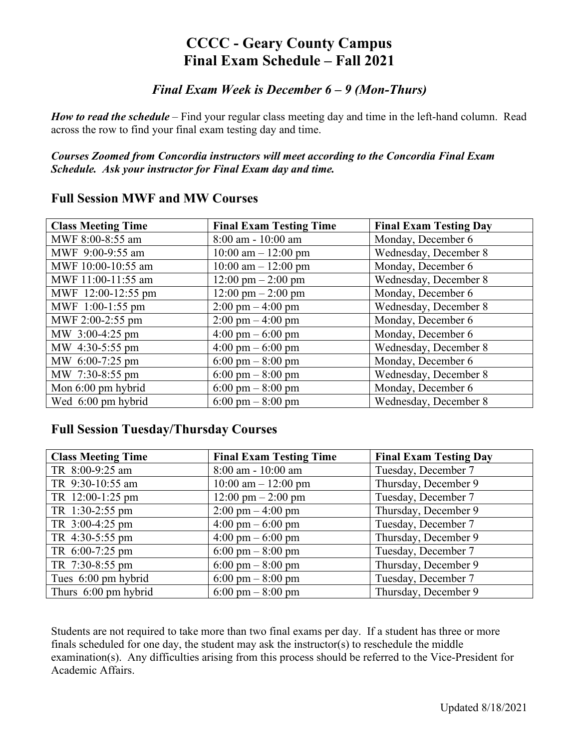## **CCCC - Geary County Campus Final Exam Schedule – Fall 2021**

### *Final Exam Week is December 6 – 9 (Mon-Thurs)*

*How to read the schedule* – Find your regular class meeting day and time in the left-hand column. Read across the row to find your final exam testing day and time.

*Courses Zoomed from Concordia instructors will meet according to the Concordia Final Exam Schedule. Ask your instructor for Final Exam day and time.* 

| <b>Class Meeting Time</b> | <b>Final Exam Testing Time</b>       | <b>Final Exam Testing Day</b> |
|---------------------------|--------------------------------------|-------------------------------|
| MWF 8:00-8:55 am          | $8:00$ am - $10:00$ am               | Monday, December 6            |
| MWF 9:00-9:55 am          | $10:00$ am $- 12:00$ pm              | Wednesday, December 8         |
| MWF 10:00-10:55 am        | $10:00$ am $- 12:00$ pm              | Monday, December 6            |
| MWF 11:00-11:55 am        | $12:00 \text{ pm} - 2:00 \text{ pm}$ | Wednesday, December 8         |
| MWF 12:00-12:55 pm        | $12:00 \text{ pm} - 2:00 \text{ pm}$ | Monday, December 6            |
| MWF 1:00-1:55 pm          | $2:00 \text{ pm} - 4:00 \text{ pm}$  | Wednesday, December 8         |
| MWF 2:00-2:55 pm          | $2:00 \text{ pm} - 4:00 \text{ pm}$  | Monday, December 6            |
| MW 3:00-4:25 pm           | $4:00 \text{ pm} - 6:00 \text{ pm}$  | Monday, December 6            |
| MW 4:30-5:55 pm           | $4:00 \text{ pm} - 6:00 \text{ pm}$  | Wednesday, December 8         |
| MW 6:00-7:25 pm           | 6:00 pm $-$ 8:00 pm                  | Monday, December 6            |
| MW 7:30-8:55 pm           | $6:00 \text{ pm} - 8:00 \text{ pm}$  | Wednesday, December 8         |
| Mon 6:00 pm hybrid        | 6:00 pm $-8:00$ pm                   | Monday, December 6            |
| Wed 6:00 pm hybrid        | 6:00 pm $-8:00$ pm                   | Wednesday, December 8         |

#### **Full Session MWF and MW Courses**

#### **Full Session Tuesday/Thursday Courses**

| <b>Class Meeting Time</b> | <b>Final Exam Testing Time</b>       | <b>Final Exam Testing Day</b> |
|---------------------------|--------------------------------------|-------------------------------|
| TR 8:00-9:25 am           | $8:00$ am - $10:00$ am               | Tuesday, December 7           |
| TR 9:30-10:55 am          | $10:00$ am $- 12:00$ pm              | Thursday, December 9          |
| TR 12:00-1:25 pm          | $12:00 \text{ pm} - 2:00 \text{ pm}$ | Tuesday, December 7           |
| TR 1:30-2:55 pm           | $2:00 \text{ pm} - 4:00 \text{ pm}$  | Thursday, December 9          |
| TR 3:00-4:25 pm           | $4:00 \text{ pm} - 6:00 \text{ pm}$  | Tuesday, December 7           |
| TR 4:30-5:55 pm           | $4:00 \text{ pm} - 6:00 \text{ pm}$  | Thursday, December 9          |
| TR 6:00-7:25 pm           | $6:00 \text{ pm} - 8:00 \text{ pm}$  | Tuesday, December 7           |
| TR 7:30-8:55 pm           | $6:00 \text{ pm} - 8:00 \text{ pm}$  | Thursday, December 9          |
| Tues 6:00 pm hybrid       | $6:00 \text{ pm} - 8:00 \text{ pm}$  | Tuesday, December 7           |
| Thurs 6:00 pm hybrid      | 6:00 pm $-8:00$ pm                   | Thursday, December 9          |

Students are not required to take more than two final exams per day. If a student has three or more finals scheduled for one day, the student may ask the instructor(s) to reschedule the middle examination(s). Any difficulties arising from this process should be referred to the Vice-President for Academic Affairs.